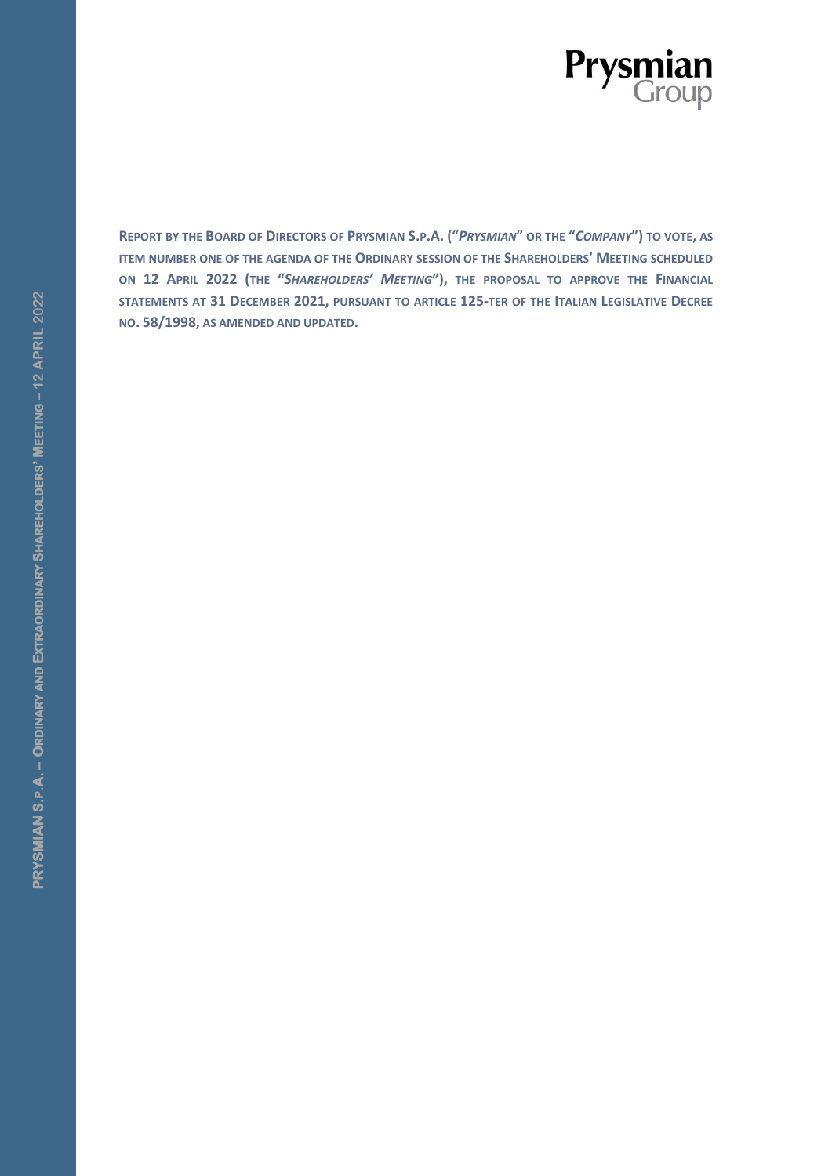

REPORT BY THE BOARD OF DIRECTORS OF PRYSMIAN S.P.A. ("PRYSMIAN" OR THE "COMPANY") TO VOTE, AS **ITEM NUMBER ONE OF THE AGENDA OF THE ORDINARY SESSION OF THE SHAREHOLDERS<sup>'</sup> MEETING SCHEDULED ON 12 APRIL 2022 (THE "***SHAREHOLDERS' MEETING***"), THE PROPOSAL TO APPROVE THE FINANCIAL STATEMENTS AT 31 DECEMBER 2021, PURSUANT TO ARTICLE 125-TER OF THE ITALIAN LEGISLATIVE DECREE NO. 58/1998, AS AMENDED AND UPDATED.**